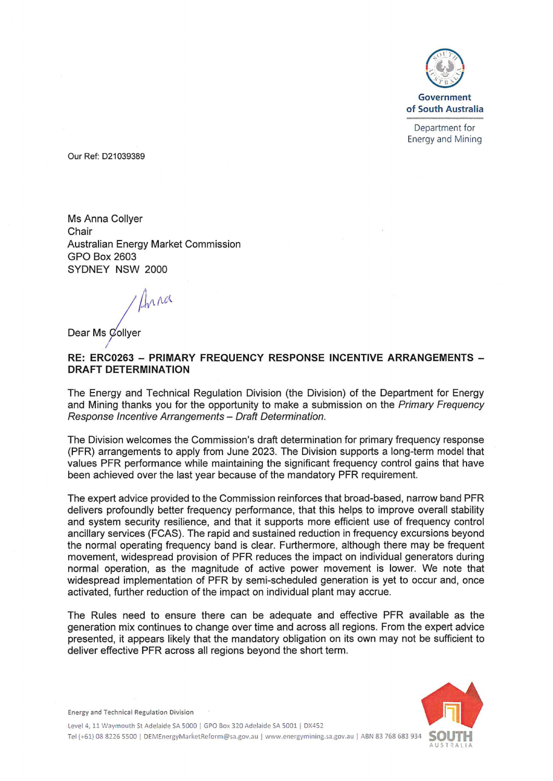

Department for Energy and Mining

Our Ref: 021039389

Ms Anna Collyer **Chair** Australian Energy Market Commission GPO Box 2603 SYDNEY NSW 2000

*I* /J,.r.fo

Dear Ms Collyer

## **RE: ERC0263 - PRIMARY FREQUENCY RESPONSE INCENTIVE ARRANGEMENTS** - **DRAFT DETERMINATION**

The Energy and Technical Regulation Division (the Division) of the Department for Energy and Mining thanks you for the opportunity to make a submission on the Primary Frequency Response Incentive Arrangements - Draft Determination.

The Division welcomes the Commission's draft determination for primary frequency response (PFR) arrangements to apply from June 2023. The Division supports a long-term model that values PFR performance while maintaining the significant frequency control gains that have been achieved over the last year because of the mandatory PFR requirement.

The expert advice provided to the Commission reinforces that broad-based, narrow band PFR delivers profoundly better frequency performance, that this helps to improve overall stability and system security resilience, and that it supports more efficient use of frequency control ancillary services (FCAS). The rapid and sustained reduction in frequency excursions beyond the normal operating frequency band is clear. Furthermore, although there may be frequent movement, widespread provision of PFR reduces the impact on individual generators during normal operation, as the magnitude of active power movement is lower. We note that widespread implementation of PFR by semi-scheduled generation is yet to occur and, once activated, further reduction of the impact on individual plant may accrue.

The Rules need to ensure there can be adequate and effective PFR available as the generation mix continues to change over time and across all regions. From the expert advice presented, it appears likely that the mandatory obligation on its own may not be sufficient to deliver effective PFR across all regions beyond the short term.



Energy and Technical Regulation Division

Tel (+61) 08 8226 5500 | DEMEnergyMarketReform@sa.gov.au | www.energymining.sa.gov.au | ABN 83 768 683 934